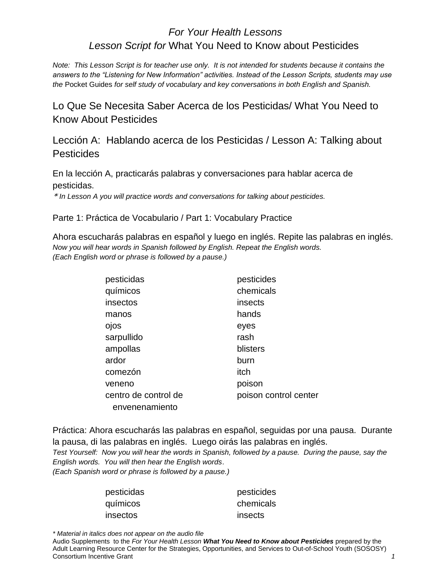## *For Your Health Lessons Lesson Script for* What You Need to Know about Pesticides

*Note: This Lesson Script is for teacher use only. It is not intended for students because it contains the answers to the "Listening for New Information" activities. Instead of the Lesson Scripts, students may use the* Pocket Guides *for self study of vocabulary and key conversations in both English and Spanish.* 

Lo Que Se Necesita Saber Acerca de los Pesticidas/ What You Need to Know About Pesticides

Lección A: Hablando acerca de los Pesticidas / Lesson A: Talking about **Pesticides** 

En la lección A, practicarás palabras y conversaciones para hablar acerca de pesticidas.

\* *In Lesson A you will practice words and conversations for talking about pesticides.*

Parte 1: Práctica de Vocabulario / Part 1: Vocabulary Practice

Ahora escucharás palabras en español y luego en inglés. Repite las palabras en inglés. *Now you will hear words in Spanish followed by English. Repeat the English words. (Each English word or phrase is followed by a pause.)* 

| pesticides            |
|-----------------------|
| chemicals             |
| insects               |
| hands                 |
| eyes                  |
| rash                  |
| blisters              |
| burn                  |
| itch                  |
| poison                |
| poison control center |
|                       |
|                       |

Práctica: Ahora escucharás las palabras en español, seguidas por una pausa. Durante la pausa, di las palabras en inglés. Luego oirás las palabras en inglés.

*Test Yourself: Now you will hear the words in Spanish, followed by a pause. During the pause, say the English words. You will then hear the English words*.

*(Each Spanish word or phrase is followed by a pause.)* 

| pesticidas | pesticides |
|------------|------------|
| químicos   | chemicals  |
| insectos   | insects    |

*\* Material in italics does not appear on the audio file*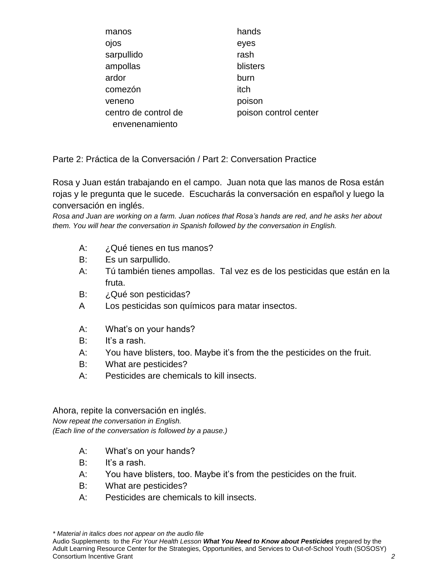| manos                | hands                 |
|----------------------|-----------------------|
| ojos                 | eyes                  |
| sarpullido           | rash                  |
| ampollas             | blisters              |
| ardor                | burn                  |
| comezón              | itch                  |
| veneno               | poison                |
| centro de control de | poison control center |
| envenenamiento       |                       |

Parte 2: Práctica de la Conversación / Part 2: Conversation Practice

Rosa y Juan están trabajando en el campo. Juan nota que las manos de Rosa están rojas y le pregunta que le sucede. Escucharás la conversación en español y luego la conversación en inglés.

*Rosa and Juan are working on a farm. Juan notices that Rosa's hands are red, and he asks her about them. You will hear the conversation in Spanish followed by the conversation in English.* 

- A: ¿Qué tienes en tus manos?
- B: Es un sarpullido.
- A: Tú también tienes ampollas. Tal vez es de los pesticidas que están en la fruta.
- B: ¿Qué son pesticidas?
- A Los pesticidas son químicos para matar insectos.
- A: What's on your hands?
- B: It's a rash.
- A: You have blisters, too. Maybe it's from the the pesticides on the fruit.
- B: What are pesticides?
- A: Pesticides are chemicals to kill insects.

Ahora, repite la conversación en inglés. *Now repeat the conversation in English. (Each line of the conversation is followed by a pause.)* 

- A: What's on your hands?
- B: It's a rash.
- A: You have blisters, too. Maybe it's from the pesticides on the fruit.
- B: What are pesticides?
- A: Pesticides are chemicals to kill insects.

*\* Material in italics does not appear on the audio file*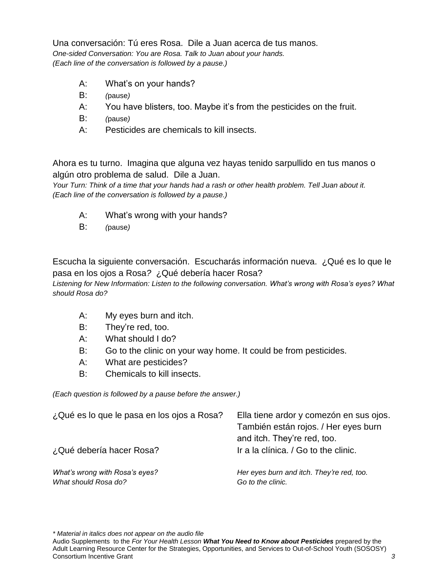Una conversación: Tú eres Rosa. Dile a Juan acerca de tus manos. *One-sided Conversation: You are Rosa. Talk to Juan about your hands. (Each line of the conversation is followed by a pause.)* 

- A: What's on your hands?
- B: *(*pause*)*
- A: You have blisters, too. Maybe it's from the pesticides on the fruit.
- B: *(*pause*)*
- A: Pesticides are chemicals to kill insects.

Ahora es tu turno. Imagina que alguna vez hayas tenido sarpullido en tus manos o algún otro problema de salud. Dile a Juan.

*Your Turn: Think of a time that your hands had a rash or other health problem. Tell Juan about it. (Each line of the conversation is followed by a pause.)* 

- A: What's wrong with your hands?
- B: *(*pause*)*

Escucha la siguiente conversación. Escucharás información nueva. ¿Qué es lo que le pasa en los ojos a Rosa*?* ¿Qué debería hacer Rosa?

*Listening for New Information: Listen to the following conversation. What's wrong with Rosa's eyes? What should Rosa do?* 

- A: My eyes burn and itch.
- B: They're red, too.
- A: What should I do?
- B: Go to the clinic on your way home. It could be from pesticides.
- A: What are pesticides?
- B: Chemicals to kill insects.

*(Each question is followed by a pause before the answer.)* 

| ¿Qué es lo que le pasa en los ojos a Rosa?<br>¿Qué debería hacer Rosa? | Ella tiene ardor y comezón en sus ojos.<br>También están rojos. / Her eyes burn<br>and itch. They're red, too.<br>Ir a la clínica. / Go to the clinic. |
|------------------------------------------------------------------------|--------------------------------------------------------------------------------------------------------------------------------------------------------|
| What's wrong with Rosa's eyes?                                         | Her eyes burn and itch. They're red, too.                                                                                                              |
| What should Rosa do?                                                   | Go to the clinic.                                                                                                                                      |

*\* Material in italics does not appear on the audio file*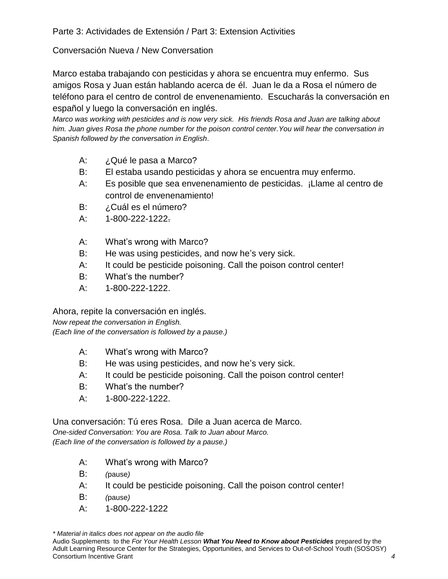Parte 3: Actividades de Extensión / Part 3: Extension Activities

## Conversación Nueva / New Conversation

Marco estaba trabajando con pesticidas y ahora se encuentra muy enfermo. Sus amigos Rosa y Juan están hablando acerca de él. Juan le da a Rosa el número de teléfono para el centro de control de envenenamiento. Escucharás la conversación en español y luego la conversación en inglés.

*Marco was working with pesticides and is now very sick. His friends Rosa and Juan are talking about him. Juan gives Rosa the phone number for the poison control center.You will hear the conversation in Spanish followed by the conversation in English*.

- A: ¿Qué le pasa a Marco?
- B: El estaba usando pesticidas y ahora se encuentra muy enfermo.
- A: Es posible que sea envenenamiento de pesticidas. ¡Llame al centro de control de envenenamiento!
- B: ¿Cuál es el número?
- A: 1-800-222-1222.
- A: What's wrong with Marco?
- B: He was using pesticides, and now he's very sick.
- A: It could be pesticide poisoning. Call the poison control center!
- B: What's the number?
- A: 1-800-222-1222.

Ahora, repite la conversación en inglés. *Now repeat the conversation in English. (Each line of the conversation is followed by a pause.)* 

- A: What's wrong with Marco?
- B: He was using pesticides, and now he's very sick.
- A: It could be pesticide poisoning. Call the poison control center!
- B: What's the number?
- A: 1-800-222-1222.

Una conversación: Tú eres Rosa. Dile a Juan acerca de Marco. *One-sided Conversation: You are Rosa. Talk to Juan about Marco. (Each line of the conversation is followed by a pause.)* 

- A: What's wrong with Marco?
- B: *(*pause*)*
- A: It could be pesticide poisoning. Call the poison control center!
- B: *(*pause*)*
- A: 1-800-222-1222

*\* Material in italics does not appear on the audio file*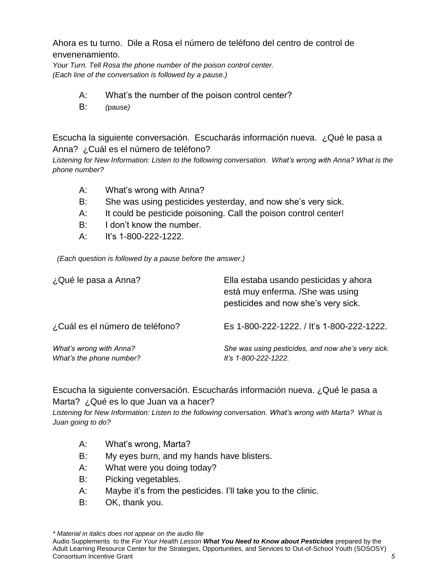Ahora es tu turno. Dile a Rosa el número de teléfono del centro de control de envenenamiento.

*Your Turn. Tell Rosa the phone number of the poison control center. (Each line of the conversation is followed by a pause.)* 

- A: What's the number of the poison control center?
- B: *(*pause*)*

Escucha la siguiente conversación. Escucharás información nueva. ¿Qué le pasa a Anna? ¿Cuál es el número de teléfono?

*Listening for New Information: Listen to the following conversation. What's wrong with Anna? What is the phone number?* 

- A: What's wrong with Anna?
- B: She was using pesticides yesterday, and now she's very sick.
- A: It could be pesticide poisoning. Call the poison control center!
- B: I don't know the number.
- A: It's 1-800-222-1222.

 *(Each question is followed by a pause before the answer.)* 

| ¿Qué le pasa a Anna?                                | Ella estaba usando pesticidas y ahora<br>está muy enferma. /She was using<br>pesticides and now she's very sick. |
|-----------------------------------------------------|------------------------------------------------------------------------------------------------------------------|
| ¿Cuál es el número de teléfono?                     | Es 1-800-222-1222. / It's 1-800-222-1222.                                                                        |
| What's wrong with Anna?<br>What's the phone number? | She was using pesticides, and now she's very sick.<br>It's 1-800-222-1222.                                       |

Escucha la siguiente conversación. Escucharás información nueva. ¿Qué le pasa a Marta? ¿Qué es lo que Juan va a hacer?

*Listening for New Information: Listen to the following conversation. What's wrong with Marta? What is Juan going to do?* 

- A: What's wrong, Marta?
- B: My eyes burn, and my hands have blisters.
- A: What were you doing today?
- B: Picking vegetables.
- A: Maybe it's from the pesticides. I'll take you to the clinic.
- B: OK, thank you.

*\* Material in italics does not appear on the audio file*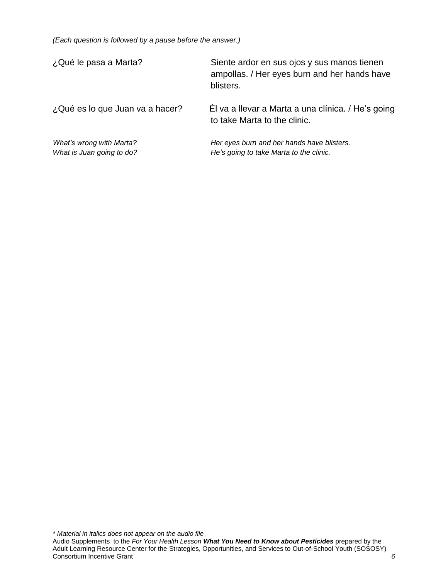*(Each question is followed by a pause before the answer.)* 

| ¿Qué le pasa a Marta?                                 | Siente ardor en sus ojos y sus manos tienen<br>ampollas. / Her eyes burn and her hands have<br>blisters. |
|-------------------------------------------------------|----------------------------------------------------------------------------------------------------------|
| ¿Qué es lo que Juan va a hacer?                       | El va a llevar a Marta a una clínica. / He's going<br>to take Marta to the clinic.                       |
| What's wrong with Marta?<br>What is Juan going to do? | Her eyes burn and her hands have blisters.<br>He's going to take Marta to the clinic.                    |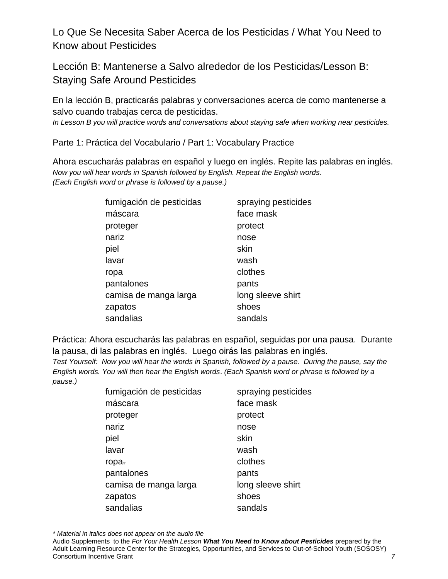Lo Que Se Necesita Saber Acerca de los Pesticidas / What You Need to Know about Pesticides

Lección B: Mantenerse a Salvo alrededor de los Pesticidas/Lesson B: Staying Safe Around Pesticides

En la lección B, practicarás palabras y conversaciones acerca de como mantenerse a salvo cuando trabajas cerca de pesticidas.

*In Lesson B you will practice words and conversations about staying safe when working near pesticides.* 

Parte 1: Práctica del Vocabulario / Part 1: Vocabulary Practice

Ahora escucharás palabras en español y luego en inglés. Repite las palabras en inglés. *Now you will hear words in Spanish followed by English. Repeat the English words. (Each English word or phrase is followed by a pause.)* 

| fumigación de pesticidas | spraying pesticides |
|--------------------------|---------------------|
| máscara                  | face mask           |
| proteger                 | protect             |
| nariz                    | nose                |
| piel                     | skin                |
| lavar                    | wash                |
| ropa                     | clothes             |
| pantalones               | pants               |
| camisa de manga larga    | long sleeve shirt   |
| zapatos                  | shoes               |
| sandalias                | sandals             |
|                          |                     |

Práctica: Ahora escucharás las palabras en español, seguidas por una pausa. Durante la pausa, di las palabras en inglés. Luego oirás las palabras en inglés.

*Test Yourself: Now you will hear the words in Spanish, followed by a pause. During the pause, say the English words. You will then hear the English words*. *(Each Spanish word or phrase is followed by a pause.)* 

| fumigación de pesticidas | spraying pesticides |
|--------------------------|---------------------|
| máscara                  | face mask           |
| proteger                 | protect             |
| nariz                    | nose                |
| piel                     | skin                |
| lavar                    | wash                |
| ropa.                    | clothes             |
| pantalones               | pants               |
| camisa de manga larga    | long sleeve shirt   |
| zapatos                  | shoes               |
| sandalias                | sandals             |
|                          |                     |

*\* Material in italics does not appear on the audio file*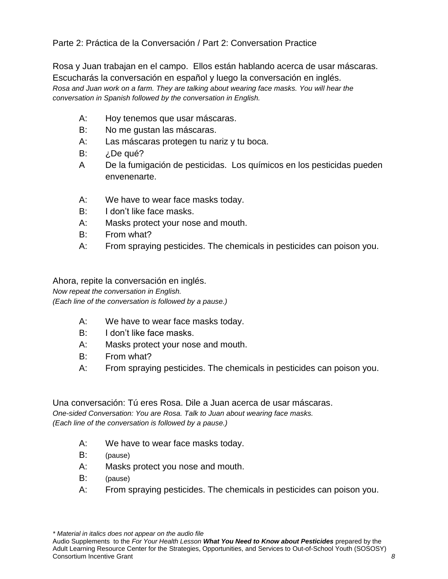Parte 2: Práctica de la Conversación / Part 2: Conversation Practice

Rosa y Juan trabajan en el campo. Ellos están hablando acerca de usar máscaras. Escucharás la conversación en español y luego la conversación en inglés. *Rosa and Juan work on a farm. They are talking about wearing face masks. You will hear the conversation in Spanish followed by the conversation in English.* 

- A: Hoy tenemos que usar máscaras.
- B: No me gustan las máscaras.
- A: Las máscaras protegen tu nariz y tu boca.
- B: *i*.De qué?
- A De la fumigación de pesticidas. Los químicos en los pesticidas pueden envenenarte.
- A: We have to wear face masks today.
- B: I don't like face masks.
- A: Masks protect your nose and mouth.
- B: From what?
- A: From spraying pesticides. The chemicals in pesticides can poison you.

Ahora, repite la conversación en inglés. *Now repeat the conversation in English.* 

*(Each line of the conversation is followed by a pause.)* 

- A: We have to wear face masks today.
- B: I don't like face masks.
- A: Masks protect your nose and mouth.
- B: From what?
- A: From spraying pesticides. The chemicals in pesticides can poison you.

Una conversación: Tú eres Rosa. Dile a Juan acerca de usar máscaras. *One-sided Conversation: You are Rosa. Talk to Juan about wearing face masks.* 

*(Each line of the conversation is followed by a pause.)* 

- A: We have to wear face masks today.
- B: (pause)
- A: Masks protect you nose and mouth.
- B: (pause)
- A: From spraying pesticides. The chemicals in pesticides can poison you.

*\* Material in italics does not appear on the audio file*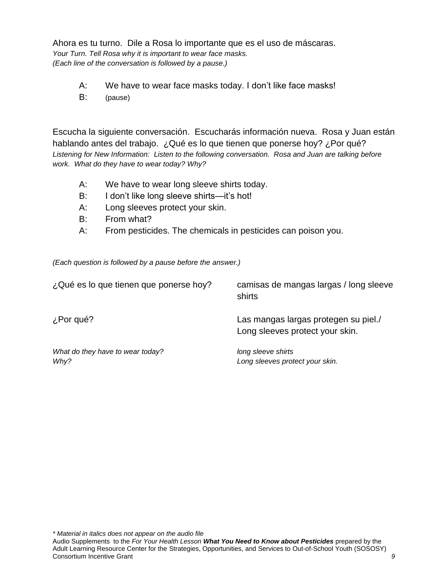Ahora es tu turno. Dile a Rosa lo importante que es el uso de máscaras. *Your Turn. Tell Rosa why it is important to wear face masks. (Each line of the conversation is followed by a pause.)* 

- A: We have to wear face masks today. I don't like face masks!
- B: (pause)

Escucha la siguiente conversación. Escucharás información nueva. Rosa y Juan están hablando antes del trabajo. ¿Qué es lo que tienen que ponerse hoy? ¿Por qué? *Listening for New Information: Listen to the following conversation. Rosa and Juan are talking before work. What do they have to wear today? Why?* 

- A: We have to wear long sleeve shirts today.
- B: I don't like long sleeve shirts—it's hot!
- A: Long sleeves protect your skin.
- B: From what?
- A: From pesticides. The chemicals in pesticides can poison you.

*(Each question is followed by a pause before the answer.)* 

| ¿Qué es lo que tienen que ponerse hoy?   | camisas de mangas largas / long sleeve<br>shirts                        |
|------------------------------------------|-------------------------------------------------------------------------|
| ¿Por qué?                                | Las mangas largas protegen su piel./<br>Long sleeves protect your skin. |
| What do they have to wear today?<br>Why? | long sleeve shirts<br>Long sleeves protect your skin.                   |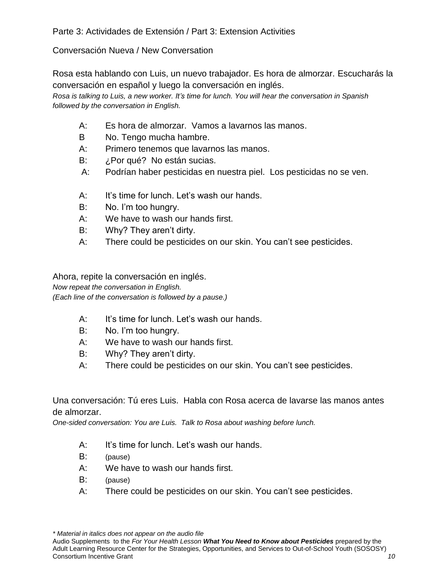## Conversación Nueva / New Conversation

Rosa esta hablando con Luis, un nuevo trabajador. Es hora de almorzar. Escucharás la conversación en español y luego la conversación en inglés.

*Rosa is talking to Luis, a new worker. It's time for lunch. You will hear the conversation in Spanish followed by the conversation in English.* 

- A: Es hora de almorzar. Vamos a lavarnos las manos.
- B No. Tengo mucha hambre.
- A: Primero tenemos que lavarnos las manos.
- B: ¿Por qué? No están sucias.
- A: Podrían haber pesticidas en nuestra piel. Los pesticidas no se ven.
- A: It's time for lunch. Let's wash our hands.
- B: No. I'm too hungry.
- A: We have to wash our hands first.
- B: Why? They aren't dirty.
- A: There could be pesticides on our skin. You can't see pesticides.

Ahora, repite la conversación en inglés. *Now repeat the conversation in English. (Each line of the conversation is followed by a pause.)* 

- A: It's time for lunch. Let's wash our hands.
- B: No. I'm too hungry.
- A: We have to wash our hands first.
- B: Why? They aren't dirty.
- A: There could be pesticides on our skin. You can't see pesticides.

Una conversación: Tú eres Luis. Habla con Rosa acerca de lavarse las manos antes de almorzar.

*One-sided conversation: You are Luis. Talk to Rosa about washing before lunch.* 

- A: It's time for lunch. Let's wash our hands.
- B: (pause)
- A: We have to wash our hands first.
- B: (pause)
- A: There could be pesticides on our skin. You can't see pesticides.

*\* Material in italics does not appear on the audio file*